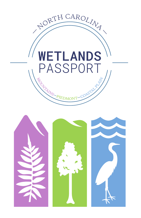

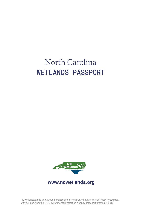# North Carolina **WETLANDS PASSPORT**



**www.ncwetlands.org**

NCwetlands.org is an outreach project of the North Carolina Division of Water Resources, with funding from the US Environmental Protection Agency. Passport created in 2018.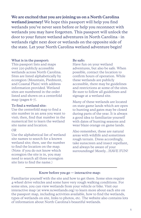**We are excited that you are joining us on a North Carolina wetland journey!** We hope this passport will help you find wetlands you've never seen before or help you reconnect with wetlands you may have forgotten. This passport will unlock the door to your future wetland adventures in North Carolina - in wetlands right next door or wetlands on the opposite side of the state. Let your North Carolina wetland adventure begin!

### **What is in the passport:**

This passport lists and maps over 220 publicly accessible wetlands across North Carolina. Sites are listed alphabetically by ecoregion (Mountain, Piedmont, and Coastal Plain) with address information provided. Wetland sites are numbered in the order listed and shown on a centerfold map (pages 6-7).

### **To find a wetland site:**

Use the centerfold map to find a site number in an area you want to visit; then, find that number in the numerical list to learn the wetland site name and location.

### *OR*

Use the alphabetical list of wetland site names to search for a known wetland site; then, use the number to find the location on the map. (Note: if you do not know which ecoregion the site is in, you may need to search all three ecoregion site lists to find the name.)

#### **Be safe:**

Have fun on your wetland adventures, but also be safe. When possible, contact the location to confirm hours of operation. While these wetlands are publicly accessible, there may be guidelines and restrictions at some of the sites. Be sure to follow all guidelines and signage at a wetland site.

Many of these wetlands are located on state game lands which are open to hunting and gates may be closed during parts of the year. It is always a good idea to familiarize yourself with dates of hunting seasons and wear blaze orange on game lands.

Also remember, these are natural areas with wildlife and sometimes rough terrain. Dress accordingly, take sunscreen and insect repellant, and always be aware of your surroundings! Mostly…HAVE FUN!

### **Know before you go — interactive map:**

Familiarize yourself with the site and how to get there. Some sites require 4-wheel drive vehicles and some have very rough walking conditions. For some sites, you can view wetlands from your vehicle or bike. Visit our interactive map (at www.ncwetlands.org) to learn more about each site on the passport map, including activities available, how to find the wetlands, types of wetlands on site, links to photos, etc. The website also contains lots of information about North Carolina's beautiful wetlands.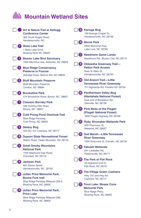## **Mountain Wetland Sites**

|      | Art & Nature Trail at Kellogg<br><b>Conference Center</b><br>362 South Rugby Road,<br>Hendersonville, NC                                    |      | <b>ib</b> Kanuga Bog<br>130 Kanuga Chapel Dr,<br>Hendersonville, NC 28739                                   |
|------|---------------------------------------------------------------------------------------------------------------------------------------------|------|-------------------------------------------------------------------------------------------------------------|
|      | 2 Bass Lake Trail<br>1 Bass Lake Drive,                                                                                                     |      | <b>B</b> Morse Park<br>2932 Memorial Hwy,<br>Lake Lure, NC 28746                                            |
|      | Blowing Rock NC 28605<br><b>8</b> Beaver Lake Bird Sanctuary                                                                                |      | <b>17</b> Needmore Game Lands<br>Needmore Rd., Bryson City, NC 28713                                        |
|      | 1056 Merrimon Ave, Asheville, NC 28804<br><b>Blue Ridge Conservancy</b><br><b>Preserve in Foscoe</b><br>Aldridge Road, Banner Elk, NC 28604 | 18 ) | Oklawaha Greenway Trail-<br><b>Patton Park Access</b><br>Near N. Main St.,<br>Hendersonville, NC 28792      |
|      | <b>Bluff Mountain Preserve</b><br><b>Bluff Mountain Preserve,</b><br>Creston, NC 28684                                                      |      | <b>D</b> Old Airport Trail-Little<br><b>Tennessee River Greenway</b><br>111 Highlands Rd, Franklin NC 28734 |
| 8.   | <b>Brookshire Park</b><br>574 Brookshire Road, Boone, NC 28607                                                                              |      | <sup>2</sup> Panthertown Valley Bog<br>(Nantahala National Forest)                                          |
|      | <b>Clawson Burnley Park</b><br>335 Hunting Hills Road,<br>Boone, NC 28607                                                                   |      | East end of Breedlove Rd.,<br>Glenville, NC 28736<br>(2) Pink Beds of the Pisgah                            |
| 8)   | <b>Cold Prong Pond Overlook Trail</b><br><b>Blue Ridge Parkway,</b>                                                                         |      | (Pisgah National Forest)<br>1600 Pisgah Highway, NC 28768                                                   |
|      | Cold Prong, NC 28605<br><b>Delany Bog</b>                                                                                                   | (22) | <b>Roby Shomaker Wetlands Park</b><br>420 Pharmacy St,                                                      |
|      | 503 NC-107, Cashiers, NC 28717                                                                                                              | (23) | Newland, NC 28657<br><b>Suli Marsh-Little Tennessee</b>                                                     |
|      | <b>Dupont State Recreational Forest</b><br>Staton Road, Cedar Mountain, NC 28718                                                            |      | <b>River Greenway</b><br>1294 Riverview St, Franklin, NC 28734                                              |
|      | <b>ii</b> Great Smoky Mountains<br><b>National Park</b><br>1194 Newfound Gap Road,<br>Cherokee, NC 28719                                    |      | 24 Tallulah Wetlands<br>241 Ledbetter Rd.<br>Robbinsville, NC 28771                                         |
| 12)  | <b>Jackson Park</b><br>801 Glover Street.<br>Hendersonville, NC 28792                                                                       | 25)  | <b>The Park at Flat Rock</b><br>55 Highland Golf Dr,<br>Flat Rock, NC 28731                                 |
| 18 ) | Julian Price Memorial Park,<br><b>Boone Fork trail</b><br>Blue Ridge Parkway Milepost 299.9,                                                | 26 ) | <b>The Village Green Cashiers</b><br>Hwy 107 and Hwy 64,<br>Cashiers, NC 28717                              |
|      | Blowing Rock, NC 28605                                                                                                                      |      | <b>7</b> Trout Lake: Moses Cone<br><b>Memorial Park</b>                                                     |
| 14)  | <b>Julian Price Memorial Park,</b><br><b>Price Lake</b><br>Blue Ridge Parkway Milepost 298,<br>Blowing Rock, NC 28605                       |      | Blue Ridge Pkwy,<br>Blowing Rock, NC 28605                                                                  |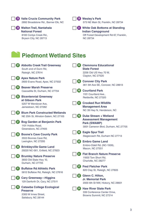|                    | 28 Valle Crucis Community Park<br>2892 Broadstone Rd., Banner Elk, NC<br>29 Walton Trail, Nantahala<br><b>National Forest</b><br>8100 Conlys Creek Rd.,<br>Bryson City, NC 28713 |      | <b>30</b> Wesley's Park<br>573 NE Main St, Franklin, NC 28734<br><b>61</b> White Oak Bottoms at Standing<br><b>Indian Campground</b><br>Off Forest Development Rd 67, Franklin,<br><b>NC 28734</b> |
|--------------------|----------------------------------------------------------------------------------------------------------------------------------------------------------------------------------|------|----------------------------------------------------------------------------------------------------------------------------------------------------------------------------------------------------|
|                    | <b>Piedmont Wetland Sites</b>                                                                                                                                                    |      |                                                                                                                                                                                                    |
|                    | <b>42 Abbotts Creek Trail Greenway</b><br>South end of Dunn Rd,<br>Raleigh, NC 27614                                                                                             | (44) | <b>Clemmons Educational</b><br><b>State Forest</b><br>2256 Old US Hwy 70 W,<br>Clayton, NC 27520                                                                                                   |
|                    | <b>68</b> Apex Nature Park<br>2600 Evans Road, Apex, NC 27502                                                                                                                    |      | 45 Conover City Park<br>361 5th Ave SE, Conover, NC 28613                                                                                                                                          |
|                    | <b>ND</b> Beaver Marsh Preserve<br>Cascadilla St, Durham, NC 27704<br><b>65</b> Bicentennial Greenway                                                                            | (46) | <b>Courtland Park</b><br>1101 Courtland Ave                                                                                                                                                        |
|                    | at Gibson Park<br>5207 W Wendover Ave,<br>Jamestown, NC 27282                                                                                                                    |      | Reidsville, NC 27320<br><b>47</b> Crooked Run Wildlife<br><b>Management Area</b>                                                                                                                   |
|                    | 69 Blum Park Constructed Wetlands<br>NE 25th St, Winston-Salem, NC 27105                                                                                                         |      | NC 39 Hwy N, Henderson, NC<br>49 Duke Stream + Wetland                                                                                                                                             |
| $\left( 37\right)$ | Bog Garden at Benjamin Park<br>1101 Hobbs Road,<br>Greensboro, NC 27405                                                                                                          |      | <b>Assessment Management</b><br>Park (SWAMP)<br>3001 Cameron Blvd, Durham, NC 27705                                                                                                                |
|                    | <b>69 Boone's Cave County Park</b><br>3553 Boones Cave Rd,                                                                                                                       |      | 49 Eagle Spur Trail<br>Stagecoach Rd, Durham NC 27713                                                                                                                                              |
| $\left(39\right)$  | Lexington, NC 27295<br><b>Brinkleyville Game Land</b><br>29220 NC-561, Enfield, NC 27823                                                                                         |      | <b>60</b> Embro Game Land<br>Embro-Odell Rd. (NC-1509),<br>Macon, NC 27551                                                                                                                         |
|                    | 40 Brumley Nature Preserve<br>3650 Old State Hwy 10,<br>Durham, NC 27705                                                                                                         |      | <b>60</b> Flat Branch Nature Preserve<br>11600 Tom Short Rd,<br>Charlotte, NC 28277                                                                                                                |
|                    | <b>Buffaloe Rd Athletic Park</b><br>5812 Buffaloe Rd, Raleigh, NC 27616                                                                                                          |      | <b>62</b> Fred Fletcher Park<br>820 Clay St, Raleigh, NC 27605                                                                                                                                     |
|                    | <sup>42</sup> Cary Greenway—Higgins<br>129 Danforth Dr, Cary, NC 27511                                                                                                           |      | 68 Glenn C. Hilton,<br><b>Jr. Memorial Park</b><br>2000 6th St NW, Hickory, NC 28601                                                                                                               |
|                    | 48 Catawba College Ecological<br><b>Preserve</b><br>2300 W Innes Street,<br>Salisbury, NC 28144                                                                                  | 54)  | <b>Haw River State Park</b><br>339 Conference Center Drive,<br>Browns Summit, NC 27214                                                                                                             |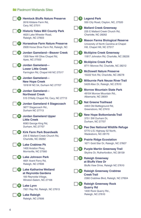### **Piedmont Wetlands Sites**

|        | <b>Hemlock Bluffs Nature Preserve</b><br>2616 Kildaire Farm Rd.<br>Cary, NC 27511                           |                  | 70 Legend Park<br>550 City Road, Clayton, NC, 27520                                                                   |
|--------|-------------------------------------------------------------------------------------------------------------|------------------|-----------------------------------------------------------------------------------------------------------------------|
| (56)   | <b>Historic Yates Mill County Park</b><br>4620 Lake Wheeler Road,                                           |                  | <i><b>II</b></i> Mallard Creek Greenway<br>235 E Mallard Creek Church Rd.<br>Charlotte, NC 28262                      |
|        | Raleigh, NC 27603<br>Horseshoe Farm Nature Preserve<br>2928 Horse Shoe Farm Rd, Raleigh, NC                 |                  | Mason Farms Biological Reserve<br>University of North Carolina at Chapel<br>Hill, Chapel Hill, NC 27517               |
| 〔58〕   | <b>Jordan Gameland-Beaver Creek</b><br>1309 New Hill Olive Chapel Rd,<br>Apex, NC 27502                     |                  | <b>78</b> McAlpine Creek Greenway<br>11817 Johnston Rd, Charlotte, NC 28226                                           |
|        | <b>69</b> Jordan Gameland-                                                                                  |                  | <b>19 McAlpine Creek Park</b><br>8711 Monroe Rd, Charlotte, NC 28212                                                  |
|        | <b>Lower Little Creek</b><br>Farrington Rd, Chapel Hill NC 27517                                            |                  | <b>6 McDowell Nature Preserve</b><br>15222 York Rd, Charlotte, NC 28278                                               |
|        | <b>60</b> Jordan Gameland-<br><b>New Hope Creek</b><br>1918 W NC 54, Durham NC 27707                        | <b>78</b>        | <b>Milburnie Park Neuse River Trail</b><br>5428 Allen Dr, Raleigh, NC 27610                                           |
|        | <b>GD</b> Jordan Gameland-<br><b>Northeast Creek</b><br>515 O'Kelly Chapel Rd, Cary, NC 27713               | $\boldsymbol{w}$ | <b>Morrow Mountain State Park</b><br>49104 Morrow Mountain Rd.,<br>Albemarle, NC 28001                                |
| 62     | <b>Jordan Gameland 4 Stagecoach</b><br>3877 Stagecoach Rd.,<br>Durham NC 27713                              |                  | <b>18</b> Nat Greene Trailhead<br>4463 Old Battleground Rd,<br>Greensboro, NC 27410                                   |
| C 63 D | <b>Jordan Gameland Upper</b><br><b>Little Creek</b><br>6083 George King Rd,                                 |                  | New Hope Bottomlands Trail<br>3751 SW Durham Dr,<br>Durham, NC 27707                                                  |
|        | Durham, NC 27707<br><b>(1)</b> Kirk Farm Park Boardwalk                                                     |                  | <b>60 Pee Dee National Wildlife Refuge</b><br>5770 U.S. Highway 52 North,<br>Wadesboro, NC 28170                      |
|        | 235 E Mallard Creek Church Rd,<br>Charlotte, NC 28262                                                       |                  | <b>61</b> Prairie Ridge Ecostation                                                                                    |
|        | <b>65 Lake Crabtree Pk</b><br>1400 Aviation Pkwy,<br>Morrisville, NC 27560                                  |                  | 1671 Gold Star Dr, Raleigh, NC 27607<br><b>82 Purple Martin Greenway Trail</b><br>Skyline Dr, Rutherfordton, NC 28139 |
|        | <b>66 Lake Johnson Park</b><br>4601 Avent Ferry Rd,<br>Raleigh, NC 27606                                    |                  | 83 Raleigh Greenway<br>at Bluffs View Dr<br>Bluffs View Drive, Raleigh NC 27610                                       |
|        | <b>G7</b> Lake Katharine Wetland<br>at Reynolda Gardens<br>100 Reynolda Village,<br>Winston-Salem, NC 27106 |                  | <b>84 Raleigh Greenway Crabtree</b><br><b>Creek Trail</b><br>2380 Crabtree Blvd, Raleigh, NC 27604                    |
|        | <b>B</b> Lake Lynn<br>7921 Ray Rd, Raleigh, NC 27613                                                        |                  | <b>65</b> Raleigh Greenway Rock<br><b>Quarry Rd</b><br>1400 Rock Quarry Rd.,                                          |
| (89)   | <b>Lake Raleigh</b><br>Raleigh, NC 27606                                                                    |                  | Raleigh, NC 27610                                                                                                     |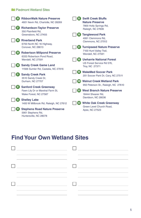### **Piedmont Wetland Sites**

| 86              | <b>RibbonWalk Nature Preserve</b><br>4601 Nevin Rd, Charlotte, NC 28269             | 95    | <b>Swift Creek Bluffs</b><br><b>Nature Preserve</b>                     |
|-----------------|-------------------------------------------------------------------------------------|-------|-------------------------------------------------------------------------|
| 87              | <b>Richardson-Taylor Preserve</b><br>350 Plainfield Rd.                             |       | 7800 Holly Springs Rd,<br>Raleigh, NC 27606                             |
|                 | Greensboro, NC 27455                                                                | 96    | <b>Tanglewood Park</b><br>4061 Clemmons Rd.                             |
| 88 <sup>2</sup> | <b>Riverbend Park</b><br>6700 North NC 16 Highway,                                  |       | Clemmons, NC 27012                                                      |
|                 | Conover, NC 28613                                                                   | 97    | <b>Turnipseed Nature Preserve</b>                                       |
| 89 <sup>°</sup> | <b>Robertson Millpond Preserve</b><br>6333 Robertson Pond Road.                     |       | 7100 Hunt Valley Trail,<br>Wendell, NC 27591                            |
|                 | Wendell, NC 27591                                                                   | 98    | <b>Uwharrie National Forest</b>                                         |
| 90`             | <b>Sandy Creek Game Land</b><br>11566 Sumler Rd, Castalia, NC 27816                 |       | US Forest Service Rd 576,<br>Troy, NC 27371                             |
| 91              | <b>Sandy Creek Park</b>                                                             | 99    | <b>WakeMed Soccer Park</b>                                              |
|                 | 3510 Sandy Creek Dr,                                                                |       | 201 Soccer Park Dr, Cary, NC 27511                                      |
|                 | Durham, NC 27707                                                                    | (10D) | <b>Walnut Creek Wetland Park</b><br>950 Peterson St., Raleigh, NC 27610 |
|                 | <b>Sanford Creek Greenway</b>                                                       |       |                                                                         |
|                 | Fawn Lily Dr or Marshal Farm St,<br>Wake Forest, NC 27587                           | (M)   | <b>West Branch Nature Preserve</b><br>18444 Shearer Rd.                 |
| 93              | <b>Shelley Lake</b>                                                                 |       | Davidson, NC 28036                                                      |
|                 | 1400 W Millbrook Rd, Raleigh, NC 27612                                              | (102) | <b>White Oak Creek Greenway</b><br>Green Level Church Road,             |
|                 | <b>Stephens Road Nature Preserve</b><br>5901 Stephens Rd,<br>Huntersville, NC 28078 |       | Apex, NC 27523                                                          |

### **Find Your Own Wetland Sites**

| <u> 1989 - Johann Barbara, martin a</u>                                                                                                                                                                                           | $\Box$ . The contract of the contract of $\Box$ |
|-----------------------------------------------------------------------------------------------------------------------------------------------------------------------------------------------------------------------------------|-------------------------------------------------|
| $\frac{1}{2}$ . The contract of the contract of the contract of the contract of the contract of the contract of the contract of the contract of the contract of the contract of the contract of the contract of the contract of t |                                                 |
| $\frac{1}{2}$ . The contract of the contract of the contract of the contract of the contract of the contract of the contract of the contract of the contract of the contract of the contract of the contract of the contract of t |                                                 |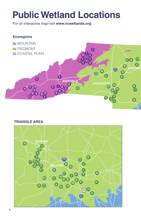# **Public Wetland Locations**

For an interactive map visit **www.ncwetlands.org**





**TRIANGLE AREA**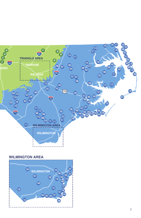

### **WILMINGTON AREA**

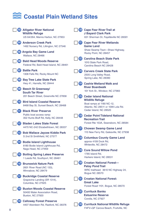|                                    | <b>68</b> Alligator River National<br><b>Wildlife Refuge</b><br>US 64/264, Manns Harbor, NC 27953 |                  | <b>10</b> Cape Fear River Trail at<br><b>J Bayard Clark Park</b><br>631 Sherman Dr, Fayetteville NC 28301                    |
|------------------------------------|---------------------------------------------------------------------------------------------------|------------------|------------------------------------------------------------------------------------------------------------------------------|
|                                    | (B) Anderson Creek Park<br>1492 Nursery Rd, Lillington, NC 27546                                  |                  | Cape Fear River Wetlands<br><b>Game Land</b><br>Shaw Swamp Tract-Shaw Highway,                                               |
|                                    | <b>65 Angola Bay Game Land</b><br>Wallace, NC 28466                                               |                  | Rocky Point, NC 28457                                                                                                        |
| 10G)                               | <b>Bald Head Woods Reserve</b><br>Federal Rd, Bald Head Island, NC 28461                          | (122)            | <b>Carolina Beach State Park</b><br>1010 State Park Road.<br>Carolina Beach NC 28428                                         |
| $^{\textcolor{red}{\textbf{(m)}}}$ | <b>Battle Park</b><br>1308 Falls Rd, Rocky Mount NC                                               |                  | <b>18 Carvers Creek State Park</b><br>2505 Long Valley Road,                                                                 |
|                                    | <b>68 Bay Tree Lake State Park</b><br>Hwy 41, Harrells, NC 28444                                  | (124)            | Spring Lake, NC 28390<br><b>Cashie Wetland Walk and</b>                                                                      |
| (III)                              | <b>Beech St Greenway/</b><br><b>South Tar River</b>                                               |                  | <b>River Boardwalk</b><br>101 York St., Windsor, NC 27983                                                                    |
|                                    | 201 Beech Street, Greenville NC 27858                                                             |                  | <b>12 Cedar Island National</b>                                                                                              |
|                                    | <b>ID</b> Bird Island Coastal Reserve<br>8468 Bay St, Sunset Beach, NC 28468                      |                  | <b>Wildlife Refuge</b><br>Boat ramps at 1180 NC-12,<br>Atlantic, NC 28511 or 1099 Lola Rd.                                   |
| W                                  | <b>Black River Preserve</b><br>Public boat access ramp:<br>352 Hunts Bluff Rd, Kelly, NC 28448    |                  | Cedar Island, NC 28520<br><b>129 Cedar Point Tideland National</b>                                                           |
|                                    | (iii) Bladen Lakes State Forest                                                                   |                  | <b>Recreation Trail</b><br>Forest Rte 153A, Swansboro, NC 28584                                                              |
| <b>(1B)</b>                        | 4470 NC-242 Elizabethtown, NC 28337<br><b>Bob Wallace Jaycee Kiddie Park</b>                      |                  | <b>17</b> Chowan Swamp Game Land<br>115 New Ferry Rd, Gatesville, NC 27938                                                   |
|                                    | S 2nd St Smithfield, NC 27577                                                                     | $\overline{128}$ | <b>Columbus County Game Land</b>                                                                                             |
|                                    | <b>19</b> Bodie Island Lighthouse<br>8180 Bodie Island Lighthouse Rd,                             |                  | approx 4109 Dock Rd,<br>Whiteville, NC 28472                                                                                 |
|                                    | Nags Head, NC 27959                                                                               | $\mathbf{C}$     | <b>Core Sound Willow Pond</b><br>1785 Island Rd,                                                                             |
|                                    | <b>65 Boiling Spring Lakes Preserve</b><br>1 Leeds Rd, Southport, NC 28461                        |                  | Harkers Island, NC 28531                                                                                                     |
| (1B)                               | <b>Brunswick Nature Park</b><br>2601 River Road (NC 133),<br>Winnabow, NC 28479                   |                  | <b>69 Croatan National Forest-</b><br><b>Patsy Pond Trail</b><br>WRC trailhead: 3610 NC Highway 24,<br><b>Boque NC 28570</b> |
| W                                  | <b>Buckridge Coastal Reserve</b><br>Grapevine Landing (SR 1314),<br>Columbia, NC 27925            |                  | <b>681</b> Croatan National Forest:<br><b>Great Lake</b>                                                                     |
| <b>THE</b>                         | <b>Buxton Woods Coastal Reserve</b><br>50400 Water Association Road,<br><b>Buxton, NC 27920</b>   |                  | Forest Road 1101, Bogue, NC 28570<br>(B) Currituck Banks<br><b>Estuarine Reserve</b>                                         |
| <b>(119)</b>                       | <b>Calloway Forest Preserve</b><br>4407 Aberdeen Rd, Raeford, NC 28376                            |                  | Corolla, NC 27927<br>(BB) Currituck National Wildlife Refuge<br>F4FV+QF Carova Beach, Fruitville, NC                         |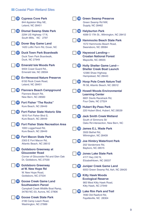Washington, NC 27889

|            | <b>(K)</b> Cypress Cove Park<br>844 Appleton Way NE,<br>Leland, NC 28451                          |                | (B) Green Swamp Preserve<br>Green Swamp Rd NW,<br><b>Supply, NC 28462</b>                    |
|------------|---------------------------------------------------------------------------------------------------|----------------|----------------------------------------------------------------------------------------------|
|            | <b>65 Dismal Swamp State Park</b><br>2294 US Highway 17 N,<br>South Mills, NC 2797                | (HD            | <b>Halyburton Park</b><br>4099 S 17th St., Wilmington, NC 28412                              |
|            | <b>69 Dover Bay Game Land</b><br>1420 Loftin Farm Rd, Dover, NC                                   | <b>(H)</b>     | <b>Hammocks Beach State Park</b><br>1572 Hammocks Beach Road,<br>Swansboro, NC 28584         |
| <b>187</b> | <b>Duck Town Park Boardwalk</b><br>Duck Town Park Boardwalk,<br>Duck, NC 27949                    |                | <b>12</b> Haywood Landing-<br><b>Croatan National Forest</b><br>Maysville, NC 28555          |
| (138)      | <b>Emerald Isle Woods Park</b><br>9404 Coast Guard Rd.,<br>Emerald Isle, NC 28594                 | $\times$       | <b>Holly Shelter Game Land-</b><br><b>Shelter Creek Boat Launch</b><br>12380 Shaw Highway    |
|            | (图) Ev-Henwood Nature Preserve<br>6150 Rock Creek Road,<br>Leland, NC 28451                       |                | Hampstead, NC 28443<br>Hoop Pole Creek Nature Trail<br>Rt 58, Atlantic Beach, NC 28512       |
| (140)      | <b>Flanners Beach Campground</b><br>Flanners Beach Rd,<br>New Bern, NC 28560                      | (155)          | <b>Howell Woods Environmental</b><br><b>Learning Center</b><br>6601 Devils Racetrack Rd,     |
| <b>14D</b> | <b>Fort Fisher "The Rocks"</b><br>Kure Beach, NC 28449                                            |                | Four Oaks, NC 27524<br><b>66 Hubert By-Pass Park</b>                                         |
|            | <b>B</b> Fort Fisher State Historic Site<br>1610 Fort Fisher Blvd S,<br>Kure Beach, NC 28449      | $\overline{a}$ | 220 Hubert Blvd, Hubert, NC 28539<br><b>Jack Smith Creek Wetland</b><br>South of Simmons St/ |
|            | <b>B</b> Fort Fisher State Recreation Area<br>1000 Loggerhead Rd,<br>Kure Beach, NC 28449         | (158)          | Oaks Rd intersection, New Bern, NC<br><b>James E.L. Wade Park</b><br>3500 Bethel Rd,         |
|            | <sup>1</sup> Fort Macon State Park<br>2303 E Fort Macon Rd.<br>Atlantic Beach, NC 28512           | <b>(159)</b>   | Wilmington, NC 28409<br><b>Joe Himbry Waterfront Park</b>                                    |
|            | <b>65 Goldsboro Greenway at</b><br><b>Gloucester Road</b>                                         | (16D)          | 202 Vandemere Rd,<br>Bayboro, NC 28515<br><b>Jones Lake State Park</b>                       |
|            | Corner of Gloucester Rd and Glen Oak<br>Dr, Goldsboro, NC 27530                                   |                | 4117 Hwy 242 N,<br>Elizabethtown, NC 28337                                                   |
|            | <b>49 Goldsboro Greenway</b><br>at W. New Hope Rd<br>W. New Hope Road,                            |                | <b>(b)</b> Juniper Creek Game Land<br>6053 Green Swamp Rd, Ash, NC 28420                     |
|            | Goldsboro, NC 27534<br><b>19 Goose Creek Game Land</b>                                            | (162)          | <b>Kitty Hawk Woods</b><br><b>Ecological Reserve</b><br>983 West Kitty Hawk Road,            |
|            | <b>Southeastern Parcel</b><br>Campbell Creek Wildlife Boat Ramp,<br>34783 NC-33, Aurora, NC 27806 | (163)          | Kitty Hawk, NC 27949<br><b>Lake Rim Park and Trail</b><br>7490 Old Raeford Rd,               |
| (148)      | <b>Goose Creek State Park</b><br>2190 Camp Leach Road,                                            |                | Fayetteville, NC 28304                                                                       |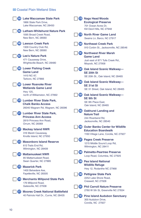|         | (E) Lake Waccamaw State Park<br>1866 State Park Drive,<br>Lake Waccamaw, NC 28450                                                                   |                    | <b>18 Nags Head Woods</b><br><b>Ecological Preserve</b><br>701 Ocean Acres Dr,<br>Kill Devil Hills, NC 27948  |
|---------|-----------------------------------------------------------------------------------------------------------------------------------------------------|--------------------|---------------------------------------------------------------------------------------------------------------|
| (165)   | <b>Latham-Whitehurst Nature Park</b><br>1095 Broad Creek Road,<br>New Bern, NC 28560                                                                | <b>179</b>         | <b>North River Game Land</b><br>Swains Ln, Barco, NC 27917                                                    |
|         | (Hi) Lawson Creek Park<br>1309 Country Club Rd,<br>New Bern, NC 28560                                                                               | (HD                | <b>Northeast Creek Park</b><br>910 Corbin St., Jacksonville, NC 28546                                         |
|         | <b>1999</b> Lee's Nature Park<br>471 Causeway Drive,<br>Wrightsville Beach, NC 28480                                                                |                    | <b>(8)</b> Northwest River Marsh<br><b>Game Land</b><br>Just east of 871 Tulls Creek Rd.,<br>Moyock, NC 27958 |
|         | <b>68 Lower Fishing Creek</b><br><b>Game Land</b><br>1410 NC-97,<br>Tarboro, NC 27866                                                               | (182)              | Oak Island Scenic Walkway-<br>SE 20th St<br>SE 20th St., Oak Island, NC 28465                                 |
|         | <b>(B)</b> Lower Roanoke River<br><b>Wetlands Game Land</b><br>Hwy 125,                                                                             | $\left(183\right)$ | Oak Island Scenic Walkway-<br>SE 31st St<br>SE 31 Street, Oak Island, NC 28465                                |
|         | north of Williamston, NC 27892<br>(D) Lumber River State Park,<br><b>Chalk Banks Access</b>                                                         | (184)              | Oak Island Scenic Walkway-<br><b>SE 9th St</b><br>SE 9th Place East,<br>Oak Island, NC 28465                  |
|         | 26040 Wagram Rd, Wagram, NC 28396<br><b>UD</b> Lumber River State Park,<br><b>Princess Ann Access</b><br>2819 Princess Ann Road,<br>Orrum, NC 28369 |                    | 69 Oakhurst Landing and<br><b>Nature Trail</b><br>244 Riverbend Rd.<br>Jacksonville, NC 28540                 |
|         | <b>12</b> Mackay Island NWR<br>316 Marsh Causeway,<br>Knotts Island, NC 27950                                                                       | $\left(186\right)$ | <b>Outer Banks Center for Wildlife</b><br><b>Education Boardwalk</b><br>1160 Village Lane, Corolla, NC 27927  |
| (178) - | <b>Masonboro Island Reserve</b><br>613 Trails End Rd,<br>Wilmington, NC 28409                                                                       | $\left(187\right)$ | <b>Pages Creek Preserve</b><br>1215 Middle Sound Loop Rd,<br>Wilmington, NC 28411                             |
| (174)   | <b>Mattamuskeet NWR</b><br>85 Mattamuskeet Road.                                                                                                    | (188)              | <b>Palmetto-Peartree Preserve</b><br>Loop Road, Columbia, NC 27925                                            |
|         | Swan Quarter, NC 27885<br><b>16</b> Mazarick Park<br>1400 Belvedere Ave,                                                                            | <b>189</b>         | <b>Pea Island National</b><br><b>Wildlife Refuge</b><br>Hwy 12, Rodanthe NC 27968                             |
|         | Fayetteville, NC 28305<br><b>18 Merchants Millpond State Park</b><br>176 Millpond Road,                                                             | $\mathbf{m}$       | <b>Pettigrew State Park</b><br>2252 Lake Shore Road,<br>Creswell, NC 27928                                    |
|         | Gatesville, NC 27938<br>(W) Moores Creek National Battlefield                                                                                       | (III)              | <b>Phil Carroll Nature Preserve</b><br>2760 W 5th St, Greenville NC 27834                                     |
|         | 40 Patriots Hall Dr., Currie, NC 28435                                                                                                              |                    | <b>B</b> Pine Island Audubon Sanctuary<br>300 Audubon Drive,<br>Corolla, NC 27927                             |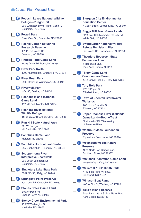|       | (B) Pocosin Lakes National Wildlife<br>Refuge-Pungo Unit<br>205 Ludington Drive (Visitor Center),             | <b>40 Sturgeon City Environmental</b><br><b>Education Center</b><br>4 Court Street, Jacksonville, NC 28540         |
|-------|---------------------------------------------------------------------------------------------------------------|--------------------------------------------------------------------------------------------------------------------|
|       | Columbia, NC 27925<br><b>B</b> Powell Park<br>River View St., Princeville, NC 27886                           | <b>41</b> Suggs Mill Pond Game Lands<br>5274 Live Oak Methodist Church Rd.<br>White Oak, NC 28399                  |
|       | <b>65 Rachel Carson Estuarine</b><br><b>Research Reserve</b><br>101 Pivers Island Rd,                         | <b>47</b> Swanquarter National Wildlife<br><b>Refuge Bell Island Pier</b><br>Bell Island Rd, Swanquarter, NC 27885 |
|       | Beaufort, NC 28516<br><b>69 Rhodes Pond Game Land</b><br>11055 Dunn Rd, Dunn, NC 28334                        | <b>48 Theodore Roosevelt State</b><br><b>Recreation Area</b><br>1 Roosevelt Blvd,                                  |
|       | <b>(B)</b> River Park North<br>1000 Mumford Rd, Greenville NC 27834                                           | Pine Knoll Shores, NC 28512<br><b>UD</b> Tillery Game Land-<br><b>Conoconnara Swamp</b>                            |
|       | <b>B</b> River Road Park<br>6500 River Rd, Wilmington, NC 28412                                               | 1744 Gravel Pit Rd., Tillery, NC 27839                                                                             |
|       | <b>(B)</b> Riverwalk Park<br>NC-133, Belville, NC 28451                                                       | <b>45</b> Tory Hole Park<br>275 N Poplar St,<br>Elizabethtown, NC 28337                                            |
|       | <b>WID</b> Roanoke Island Marshes<br><b>Game Land</b><br>417 NC 345, Manteo NC 27954                          | <b>40 Town of Edenton Stormwater</b><br>Wetlands<br>708 North Granville St.                                        |
|       | <b>200</b> Roanoke River National<br><b>Wildlife Refuge</b><br>114 W Water Street, Windsor, NC 27893          | Edenton, NC 27932<br><b>40</b> Upper Roanoke River Wetlands<br><b>Game Land-Boone Tract</b>                        |
|       | <b>202</b> Run Hill State Natural Area<br>901 W. Corrigan St,<br>Kill Devil Hills, NC 27948                   | Northeast of Rt 258 crossing<br>of Roanoke River<br><b>40 Walthour-Moss Foundation</b>                             |
|       | <b>UB</b> Sandhills Game Land<br>Marston, NC 28363                                                            | <b>Preserve</b><br>Equestrian Road, Vass, NC 28394                                                                 |
|       | <b>(40)</b> Sandhills Horticultural Garden<br>555 Lindbergh PI, Pinehurst, NC 28374                           | <b>49 Weymouth Woods Nature</b><br><b>Preserve</b><br>1024 North Fort Bragg Road,                                  |
|       | <b>85 Scuppernong River</b><br><b>Interpretive Boardwalk</b><br>205 South Ludington Dr,<br>Columbia, NC 27925 | Southern Pines, NC 28387<br><b>20</b> Whitehall Plantation Game Land<br>10085 NC-53, Kelly, NC 28448               |
| (206) | <b>Singletary Lake State Park</b><br>6707 NC-53, Kelly, NC 28448                                              | <b>24</b> William S. "Bill" Smith Park<br>4446 Fish Factory Rd SE,<br>Southport, NC 28461                          |
|       | <b>400</b> Springer's Point Preserve<br>104 Loop Rd, Ocracoke, NC 27960                                       | <b>W</b> Windsor Boat Ramp<br>400 W Elm St, Windsor, NC 27983                                                      |
|       | <b>W</b> Stones Creek Game Land<br>Beaver Pond Rd.,<br>Sneads Ferry, NC 28460                                 | 28 Zeke's Island Reserve<br>Boat Ramp: 2514 S. Fort Fisher Blvd.<br>Kure Beach, NC 28449                           |
|       | <b>WED</b> Stoney Creek Environmental Park<br>455 W Washington St,<br>Nashville, NC 27856                     |                                                                                                                    |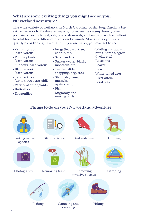### **What are some exciting things you might see on your NC wetland adventure?**

The wide variety of wetlands in North Carolina (basin, bog, Carolina bay, estuarine woody, freshwater marsh, non-riverine swamp forest, pine, pocosin, riverine forest, salt/brackish marsh, and seep) provide excellent habitat for many different plants and animals. Stay alert as you walk quietly by or through a wetland; if you are lucky, you may get to see:

- Venus flytraps (carnivorous)
- Pitcher plants (carnivorous)
- Sundews (carnivorous)
- Bladderwort (carnivorous)
- Cypress trees (up to 1,000 years old!)
- Variety of other plants
- Butterflies
- Dragonflies
- Frogs (leopard, tree, chorus, etc.)
- Salamanders
- Snakes (water, black, moccasin, etc.)
- Turtles (slider, snapping, bog, etc.)
- Shellfish (clams, mussels, oysters, etc.)
- Fish
- Migratory and nesting birds
- Wading and aquatic birds (herons, egrets, ducks, etc.)
- Raccoons
- Beaver
- Bear
- White-tailed deer
- River otters
- Feral pigs

### **Things to do on your NC wetland adventure:**